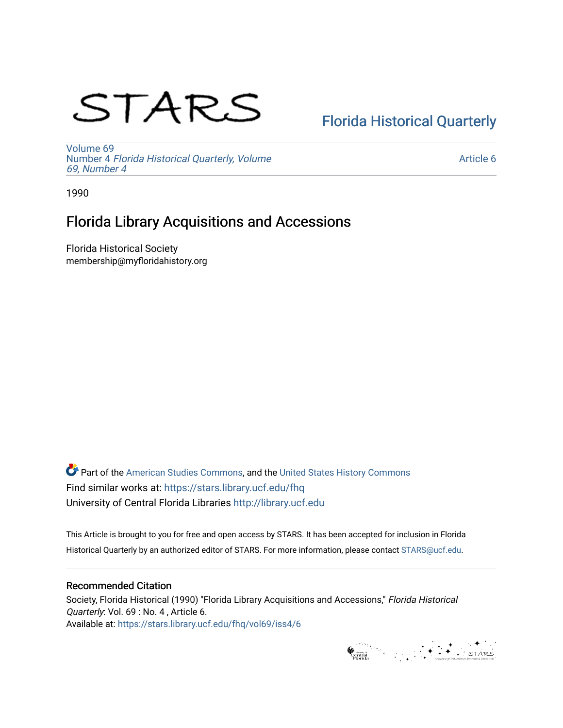# STARS

# [Florida Historical Quarterly](https://stars.library.ucf.edu/fhq)

[Volume 69](https://stars.library.ucf.edu/fhq/vol69) Number 4 [Florida Historical Quarterly, Volume](https://stars.library.ucf.edu/fhq/vol69/iss4)  [69, Number 4](https://stars.library.ucf.edu/fhq/vol69/iss4)

[Article 6](https://stars.library.ucf.edu/fhq/vol69/iss4/6) 

1990

# Florida Library Acquisitions and Accessions

Florida Historical Society membership@myfloridahistory.org

**C** Part of the [American Studies Commons](http://network.bepress.com/hgg/discipline/439?utm_source=stars.library.ucf.edu%2Ffhq%2Fvol69%2Fiss4%2F6&utm_medium=PDF&utm_campaign=PDFCoverPages), and the United States History Commons Find similar works at: <https://stars.library.ucf.edu/fhq> University of Central Florida Libraries [http://library.ucf.edu](http://library.ucf.edu/) 

This Article is brought to you for free and open access by STARS. It has been accepted for inclusion in Florida Historical Quarterly by an authorized editor of STARS. For more information, please contact [STARS@ucf.edu.](mailto:STARS@ucf.edu)

# Recommended Citation

Society, Florida Historical (1990) "Florida Library Acquisitions and Accessions," Florida Historical Quarterly: Vol. 69 : No. 4 , Article 6. Available at: [https://stars.library.ucf.edu/fhq/vol69/iss4/6](https://stars.library.ucf.edu/fhq/vol69/iss4/6?utm_source=stars.library.ucf.edu%2Ffhq%2Fvol69%2Fiss4%2F6&utm_medium=PDF&utm_campaign=PDFCoverPages) 

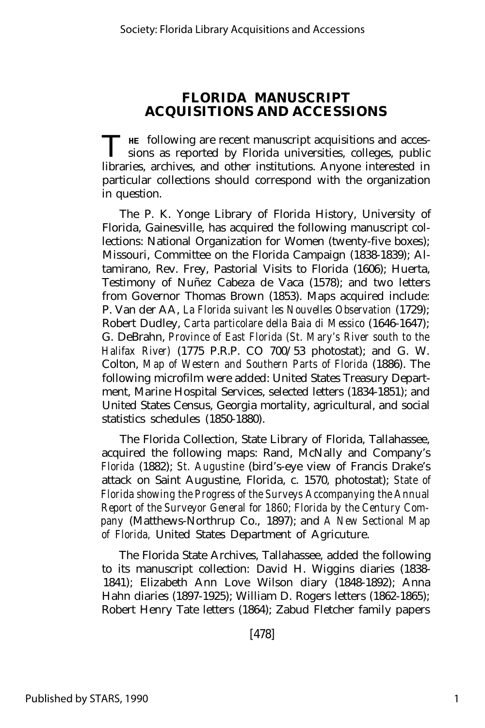## **FLORIDA MANUSCRIPT ACQUISITIONS AND ACCESSIONS**

THE following are recent manuscript acquisitions and accessions as reported by Florida universities, colleges, public sions as reported by Florida universities, colleges, public libraries, archives, and other institutions. Anyone interested in particular collections should correspond with the organization in question.

The P. K. Yonge Library of Florida History, University of Florida, Gainesville, has acquired the following manuscript collections: National Organization for Women (twenty-five boxes); Missouri, Committee on the Florida Campaign (1838-1839); Altamirano, Rev. Frey, Pastorial Visits to Florida (1606); Huerta, Testimony of Nuñez Cabeza de Vaca (1578); and two letters from Governor Thomas Brown (1853). Maps acquired include: P. Van der AA, *La Florida suivant les Nouvelles Observation* (1729); Robert Dudley, *Carta particolare della Baia di Messico* (1646-1647); G. DeBrahn, *Province of East Florida (St. Mary's River south to the Halifax River)* (1775 P.R.P. CO 700/53 photostat); and G. W. Colton, *Map of Western and Southern Parts of Florida* (1886). The following microfilm were added: United States Treasury Department, Marine Hospital Services, selected letters (1834-1851); and United States Census, Georgia mortality, agricultural, and social statistics schedules (1850-1880).

The Florida Collection, State Library of Florida, Tallahassee, acquired the following maps: Rand, McNally and Company's *Florida* (1882); *St. Augustine* (bird's-eye view of Francis Drake's attack on Saint Augustine, Florida, c. 1570, photostat); *State of Florida showing the Progress of the Surveys Accompanying the Annual Report of the Surveyor General for 1860; Florida by the Century Company* (Matthews-Northrup Co., 1897); and *A New Sectional Map of Florida,* United States Department of Agricuture.

The Florida State Archives, Tallahassee, added the following to its manuscript collection: David H. Wiggins diaries (1838- 1841); Elizabeth Ann Love Wilson diary (1848-1892); Anna Hahn diaries (1897-1925); William D. Rogers letters (1862-1865); Robert Henry Tate letters (1864); Zabud Fletcher family papers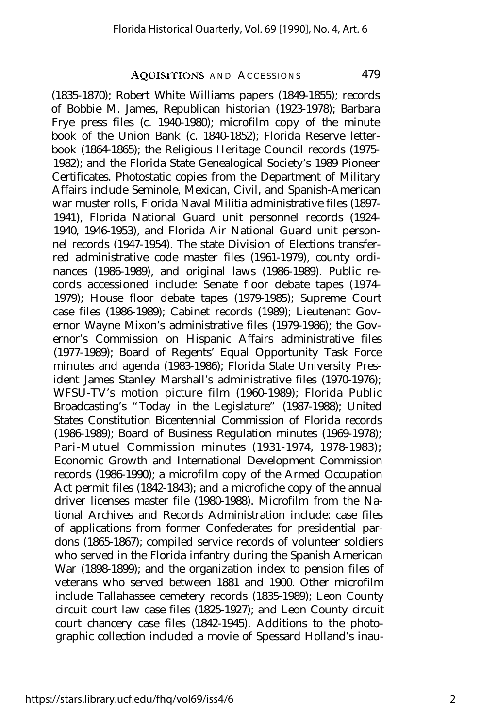## AQUISITIONS AND ACCESSIONS 479

(1835-1870); Robert White Williams papers (1849-1855); records of Bobbie M. James, Republican historian (1923-1978); Barbara Frye press files (c. 1940-1980); microfilm copy of the minute book of the Union Bank (c. 1840-1852); Florida Reserve letterbook (1864-1865); the Religious Heritage Council records (1975- 1982); and the Florida State Genealogical Society's 1989 Pioneer Certificates. Photostatic copies from the Department of Military Affairs include Seminole, Mexican, Civil, and Spanish-American war muster rolls, Florida Naval Militia administrative files (1897- 1941), Florida National Guard unit personnel records (1924- 1940, 1946-1953), and Florida Air National Guard unit personnel records (1947-1954). The state Division of Elections transferred administrative code master files (1961-1979), county ordinances (1986-1989), and original laws (1986-1989). Public records accessioned include: Senate floor debate tapes (1974- 1979); House floor debate tapes (1979-1985); Supreme Court case files (1986-1989); Cabinet records (1989); Lieutenant Governor Wayne Mixon's administrative files (1979-1986); the Governor's Commission on Hispanic Affairs administrative files (1977-1989); Board of Regents' Equal Opportunity Task Force minutes and agenda (1983-1986); Florida State University President James Stanley Marshall's administrative files (1970-1976); WFSU-TV's motion picture film (1960-1989); Florida Public Broadcasting's "Today in the Legislature" (1987-1988); United States Constitution Bicentennial Commission of Florida records (1986-1989); Board of Business Regulation minutes (1969-1978); Pari-Mutuel Commission minutes (1931-1974, 1978-1983); Economic Growth and International Development Commission records (1986-1990); a microfilm copy of the Armed Occupation Act permit files (1842-1843); and a microfiche copy of the annual driver licenses master file (1980-1988). Microfilm from the National Archives and Records Administration include: case files of applications from former Confederates for presidential pardons (1865-1867); compiled service records of volunteer soldiers who served in the Florida infantry during the Spanish American War (1898-1899); and the organization index to pension files of veterans who served between 1881 and 1900. Other microfilm include Tallahassee cemetery records (1835-1989); Leon County circuit court law case files (1825-1927); and Leon County circuit court chancery case files (1842-1945). Additions to the photographic collection included a movie of Spessard Holland's inau-

https://stars.library.ucf.edu/fhq/vol69/iss4/6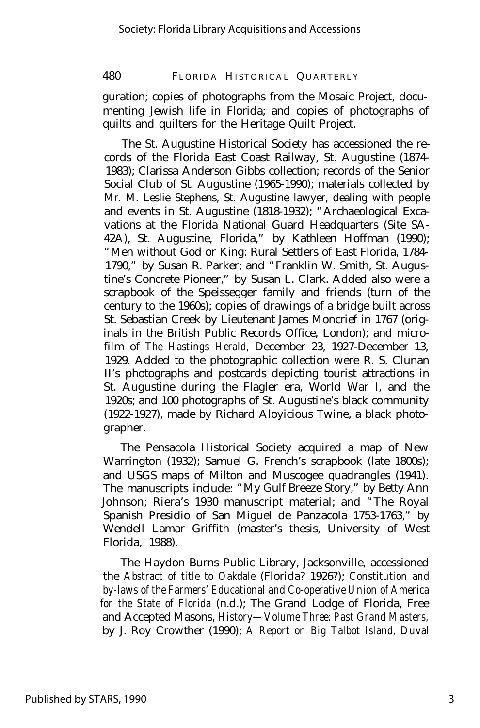### 480 FLORIDA HISTORICAL QUARTERLY

guration; copies of photographs from the Mosaic Project, documenting Jewish life in Florida; and copies of photographs of quilts and quilters for the Heritage Quilt Project.

The St. Augustine Historical Society has accessioned the records of the Florida East Coast Railway, St. Augustine (1874- 1983); Clarissa Anderson Gibbs collection; records of the Senior Social Club of St. Augustine (1965-1990); materials collected by Mr. M. Leslie Stephens, St. Augustine lawyer, dealing with people and events in St. Augustine (1818-1932); "Archaeological Excavations at the Florida National Guard Headquarters (Site SA-42A), St. Augustine, Florida," by Kathleen Hoffman (1990); "Men without God or King: Rural Settlers of East Florida, 1784- 1790," by Susan R. Parker; and "Franklin W. Smith, St. Augustine's Concrete Pioneer," by Susan L. Clark. Added also were a scrapbook of the Speissegger family and friends (turn of the century to the 1960s); copies of drawings of a bridge built across St. Sebastian Creek by Lieutenant James Moncrief in 1767 (originals in the British Public Records Office, London); and microfilm of *The Hastings Herald,* December 23, 1927-December 13, 1929. Added to the photographic collection were R. S. Clunan II's photographs and postcards depicting tourist attractions in St. Augustine during the Flagler era, World War I, and the 1920s; and 100 photographs of St. Augustine's black community (1922-1927), made by Richard Aloyicious Twine, a black photographer.

The Pensacola Historical Society acquired a map of New Warrington (1932); Samuel G. French's scrapbook (late 1800s); and USGS maps of Milton and Muscogee quadrangles (1941). The manuscripts include: "My Gulf Breeze Story," by Betty Ann Johnson; Riera's 1930 manuscript material; and "The Royal Spanish Presidio of San Miguel de Panzacola 1753-1763," by Wendell Lamar Griffith (master's thesis, University of West Florida, 1988).

The Haydon Burns Public Library, Jacksonville, accessioned the *Abstract of title to Oakdale* (Florida? 1926?); *Constitution and by-laws of the Farmers' Educational and Co-operative Union of America for the State of Florida* (n.d.); The Grand Lodge of Florida, Free and Accepted Masons, *History— Volume Three: Past Grand Masters,* by J. Roy Crowther (1990); *A Report on Big Talbot Island, Duval*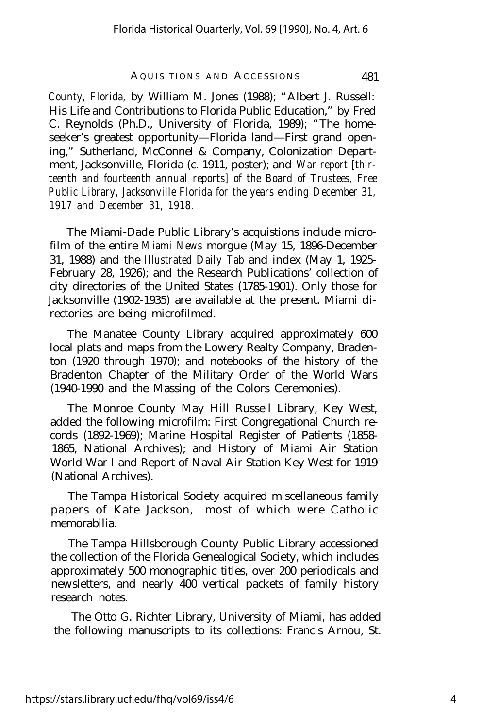#### AQUISITIONS AND ACCESSIONS 481

*County, Florida,* by William M. Jones (1988); "Albert J. Russell: His Life and Contributions to Florida Public Education," by Fred C. Reynolds (Ph.D., University of Florida, 1989); "The homeseeker's greatest opportunity— Florida land— First grand opening," Sutherland, McConnel & Company, Colonization Department, Jacksonville, Florida (c. 1911, poster); and *War report [thirteenth and fourteenth annual reports] of the Board of Trustees, Free Public Library, Jacksonville Florida for the years ending December 31, 1917 and December 31, 1918.*

The Miami-Dade Public Library's acquistions include microfilm of the entire *Miami News* morgue (May 15, 1896-December 31, 1988) and the *Illustrated Daily Tab* and index (May 1, 1925- February 28, 1926); and the Research Publications' collection of city directories of the United States (1785-1901). Only those for Jacksonville (1902-1935) are available at the present. Miami directories are being microfilmed.

The Manatee County Library acquired approximately 600 local plats and maps from the Lowery Realty Company, Bradenton (1920 through 1970); and notebooks of the history of the Bradenton Chapter of the Military Order of the World Wars (1940-1990 and the Massing of the Colors Ceremonies).

The Monroe County May Hill Russell Library, Key West, added the following microfilm: First Congregational Church records (1892-1969); Marine Hospital Register of Patients (1858- 1865, National Archives); and History of Miami Air Station World War I and Report of Naval Air Station Key West for 1919 (National Archives).

The Tampa Historical Society acquired miscellaneous family papers of Kate Jackson, most of which were Catholic memorabilia.

The Tampa Hillsborough County Public Library accessioned the collection of the Florida Genealogical Society, which includes approximately 500 monographic titles, over 200 periodicals and newsletters, and nearly 400 vertical packets of family history research notes.

The Otto G. Richter Library, University of Miami, has added the following manuscripts to its collections: Francis Arnou, St.